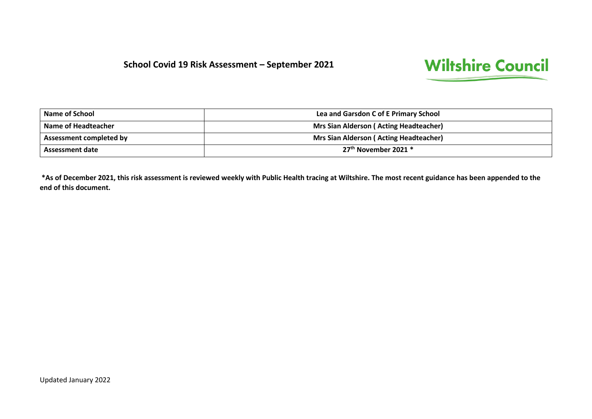#### **School Covid 19 Risk Assessment – September 2021**

# **Wiltshire Council**

| <b>Name of School</b>          | Lea and Garsdon C of E Primary School         |  |
|--------------------------------|-----------------------------------------------|--|
| Name of Headteacher            | <b>Mrs Sian Alderson (Acting Headteacher)</b> |  |
| <b>Assessment completed by</b> | <b>Mrs Sian Alderson (Acting Headteacher)</b> |  |
| <b>Assessment date</b>         | $27th$ November 2021 $*$                      |  |

**\*As of December 2021, this risk assessment is reviewed weekly with Public Health tracing at Wiltshire. The most recent guidance has been appended to the end of this document.**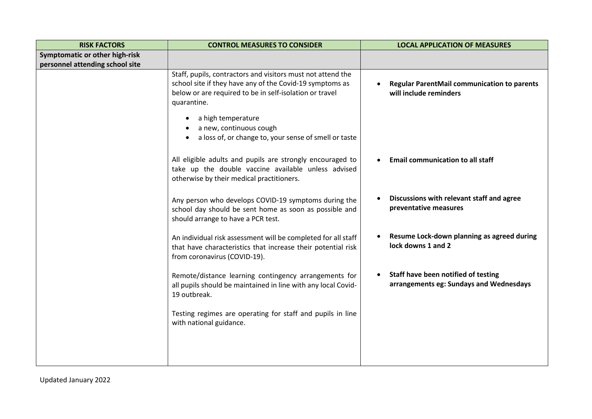| <b>RISK FACTORS</b>             | <b>CONTROL MEASURES TO CONSIDER</b>                                                                                                                                                               | <b>LOCAL APPLICATION OF MEASURES</b>                                           |
|---------------------------------|---------------------------------------------------------------------------------------------------------------------------------------------------------------------------------------------------|--------------------------------------------------------------------------------|
| Symptomatic or other high-risk  |                                                                                                                                                                                                   |                                                                                |
| personnel attending school site |                                                                                                                                                                                                   |                                                                                |
|                                 | Staff, pupils, contractors and visitors must not attend the<br>school site if they have any of the Covid-19 symptoms as<br>below or are required to be in self-isolation or travel<br>quarantine. | <b>Regular ParentMail communication to parents</b><br>will include reminders   |
|                                 | a high temperature<br>a new, continuous cough<br>a loss of, or change to, your sense of smell or taste                                                                                            |                                                                                |
|                                 | All eligible adults and pupils are strongly encouraged to<br>take up the double vaccine available unless advised<br>otherwise by their medical practitioners.                                     | <b>Email communication to all staff</b>                                        |
|                                 | Any person who develops COVID-19 symptoms during the<br>school day should be sent home as soon as possible and<br>should arrange to have a PCR test.                                              | Discussions with relevant staff and agree<br>preventative measures             |
|                                 | An individual risk assessment will be completed for all staff<br>that have characteristics that increase their potential risk<br>from coronavirus (COVID-19).                                     | Resume Lock-down planning as agreed during<br>lock downs 1 and 2               |
|                                 | Remote/distance learning contingency arrangements for<br>all pupils should be maintained in line with any local Covid-<br>19 outbreak.                                                            | Staff have been notified of testing<br>arrangements eg: Sundays and Wednesdays |
|                                 | Testing regimes are operating for staff and pupils in line<br>with national guidance.                                                                                                             |                                                                                |
|                                 |                                                                                                                                                                                                   |                                                                                |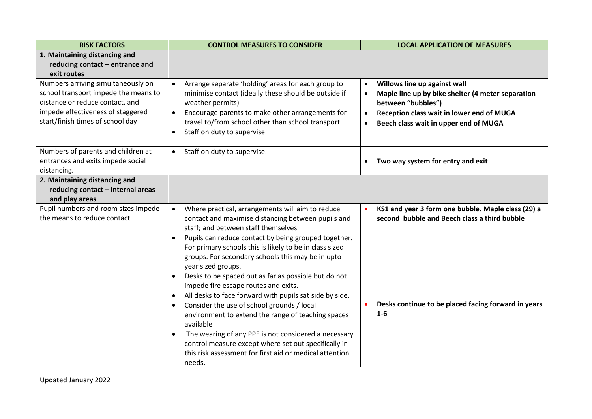| <b>RISK FACTORS</b>                                                                                                                                                                    | <b>CONTROL MEASURES TO CONSIDER</b>                                                                                                                                                                                                                                                                                                                                                                                                                                                                                                                                                                                                                                                                                                                                                                                                                  | <b>LOCAL APPLICATION OF MEASURES</b>                                                                                                                                                                                                              |
|----------------------------------------------------------------------------------------------------------------------------------------------------------------------------------------|------------------------------------------------------------------------------------------------------------------------------------------------------------------------------------------------------------------------------------------------------------------------------------------------------------------------------------------------------------------------------------------------------------------------------------------------------------------------------------------------------------------------------------------------------------------------------------------------------------------------------------------------------------------------------------------------------------------------------------------------------------------------------------------------------------------------------------------------------|---------------------------------------------------------------------------------------------------------------------------------------------------------------------------------------------------------------------------------------------------|
| 1. Maintaining distancing and<br>reducing contact - entrance and<br>exit routes                                                                                                        |                                                                                                                                                                                                                                                                                                                                                                                                                                                                                                                                                                                                                                                                                                                                                                                                                                                      |                                                                                                                                                                                                                                                   |
| Numbers arriving simultaneously on<br>school transport impede the means to<br>distance or reduce contact, and<br>impede effectiveness of staggered<br>start/finish times of school day | Arrange separate 'holding' areas for each group to<br>$\bullet$<br>minimise contact (ideally these should be outside if<br>weather permits)<br>Encourage parents to make other arrangements for<br>$\bullet$<br>travel to/from school other than school transport.<br>Staff on duty to supervise                                                                                                                                                                                                                                                                                                                                                                                                                                                                                                                                                     | Willows line up against wall<br>$\bullet$<br>Maple line up by bike shelter (4 meter separation<br>$\bullet$<br>between "bubbles")<br>Reception class wait in lower end of MUGA<br>$\bullet$<br>Beech class wait in upper end of MUGA<br>$\bullet$ |
| Numbers of parents and children at<br>entrances and exits impede social<br>distancing.                                                                                                 | Staff on duty to supervise.<br>$\bullet$                                                                                                                                                                                                                                                                                                                                                                                                                                                                                                                                                                                                                                                                                                                                                                                                             | Two way system for entry and exit                                                                                                                                                                                                                 |
| 2. Maintaining distancing and<br>reducing contact - internal areas<br>and play areas                                                                                                   |                                                                                                                                                                                                                                                                                                                                                                                                                                                                                                                                                                                                                                                                                                                                                                                                                                                      |                                                                                                                                                                                                                                                   |
| Pupil numbers and room sizes impede<br>the means to reduce contact                                                                                                                     | Where practical, arrangements will aim to reduce<br>$\bullet$<br>contact and maximise distancing between pupils and<br>staff; and between staff themselves.<br>Pupils can reduce contact by being grouped together.<br>$\bullet$<br>For primary schools this is likely to be in class sized<br>groups. For secondary schools this may be in upto<br>year sized groups.<br>Desks to be spaced out as far as possible but do not<br>impede fire escape routes and exits.<br>All desks to face forward with pupils sat side by side.<br>Consider the use of school grounds / local<br>$\bullet$<br>environment to extend the range of teaching spaces<br>available<br>The wearing of any PPE is not considered a necessary<br>control measure except where set out specifically in<br>this risk assessment for first aid or medical attention<br>needs. | KS1 and year 3 form one bubble. Maple class (29) a<br>second bubble and Beech class a third bubble<br>Desks continue to be placed facing forward in years<br>$1-6$                                                                                |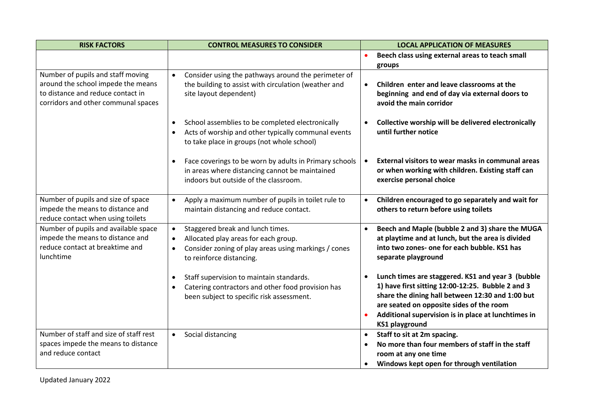| <b>RISK FACTORS</b>                                                                                                                                 | <b>CONTROL MEASURES TO CONSIDER</b>                                                                                                                                                                 | <b>LOCAL APPLICATION OF MEASURES</b>                                                                                                                                                                                                                                                   |
|-----------------------------------------------------------------------------------------------------------------------------------------------------|-----------------------------------------------------------------------------------------------------------------------------------------------------------------------------------------------------|----------------------------------------------------------------------------------------------------------------------------------------------------------------------------------------------------------------------------------------------------------------------------------------|
|                                                                                                                                                     |                                                                                                                                                                                                     | Beech class using external areas to teach small<br>groups                                                                                                                                                                                                                              |
| Number of pupils and staff moving<br>around the school impede the means<br>to distance and reduce contact in<br>corridors and other communal spaces | Consider using the pathways around the perimeter of<br>$\bullet$<br>the building to assist with circulation (weather and<br>site layout dependent)                                                  | Children enter and leave classrooms at the<br>$\bullet$<br>beginning and end of day via external doors to<br>avoid the main corridor                                                                                                                                                   |
|                                                                                                                                                     | School assemblies to be completed electronically<br>Acts of worship and other typically communal events<br>to take place in groups (not whole school)                                               | Collective worship will be delivered electronically<br>until further notice                                                                                                                                                                                                            |
|                                                                                                                                                     | Face coverings to be worn by adults in Primary schools<br>$\bullet$<br>in areas where distancing cannot be maintained<br>indoors but outside of the classroom.                                      | External visitors to wear masks in communal areas<br>$\bullet$<br>or when working with children. Existing staff can<br>exercise personal choice                                                                                                                                        |
| Number of pupils and size of space<br>impede the means to distance and<br>reduce contact when using toilets                                         | Apply a maximum number of pupils in toilet rule to<br>$\bullet$<br>maintain distancing and reduce contact.                                                                                          | Children encouraged to go separately and wait for<br>$\bullet$<br>others to return before using toilets                                                                                                                                                                                |
| Number of pupils and available space<br>impede the means to distance and<br>reduce contact at breaktime and<br>lunchtime                            | Staggered break and lunch times.<br>$\bullet$<br>Allocated play areas for each group.<br>$\bullet$<br>Consider zoning of play areas using markings / cones<br>$\bullet$<br>to reinforce distancing. | Beech and Maple (bubble 2 and 3) share the MUGA<br>$\bullet$<br>at playtime and at lunch, but the area is divided<br>into two zones- one for each bubble. KS1 has<br>separate playground                                                                                               |
|                                                                                                                                                     | Staff supervision to maintain standards.<br>$\bullet$<br>Catering contractors and other food provision has<br>$\bullet$<br>been subject to specific risk assessment.                                | Lunch times are staggered. KS1 and year 3 (bubble<br>1) have first sitting 12:00-12:25. Bubble 2 and 3<br>share the dining hall between 12:30 and 1:00 but<br>are seated on opposite sides of the room<br>Additional supervision is in place at lunchtimes in<br><b>KS1 playground</b> |
| Number of staff and size of staff rest<br>spaces impede the means to distance<br>and reduce contact                                                 | Social distancing<br>$\bullet$                                                                                                                                                                      | Staff to sit at 2m spacing.<br>$\bullet$<br>No more than four members of staff in the staff<br>room at any one time<br>Windows kept open for through ventilation                                                                                                                       |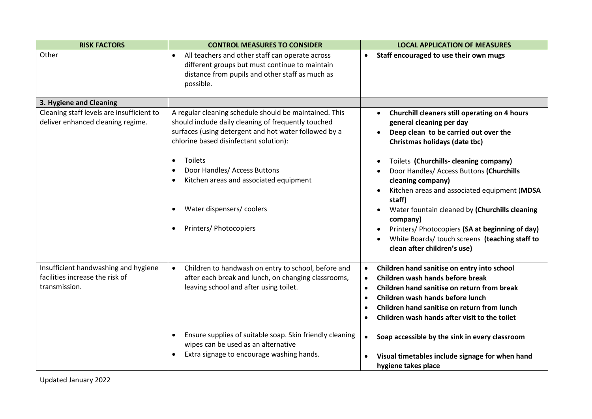| <b>RISK FACTORS</b>                                                            | <b>CONTROL MEASURES TO CONSIDER</b>                                                                                                                                                                                                                                                                                                                         | <b>LOCAL APPLICATION OF MEASURES</b>                                                                                                                                                                                                                                                                                                                                                                                                                                                                                                  |
|--------------------------------------------------------------------------------|-------------------------------------------------------------------------------------------------------------------------------------------------------------------------------------------------------------------------------------------------------------------------------------------------------------------------------------------------------------|---------------------------------------------------------------------------------------------------------------------------------------------------------------------------------------------------------------------------------------------------------------------------------------------------------------------------------------------------------------------------------------------------------------------------------------------------------------------------------------------------------------------------------------|
| Other                                                                          | All teachers and other staff can operate across<br>$\bullet$<br>different groups but must continue to maintain<br>distance from pupils and other staff as much as<br>possible.                                                                                                                                                                              | Staff encouraged to use their own mugs<br>$\bullet$                                                                                                                                                                                                                                                                                                                                                                                                                                                                                   |
| 3. Hygiene and Cleaning                                                        |                                                                                                                                                                                                                                                                                                                                                             |                                                                                                                                                                                                                                                                                                                                                                                                                                                                                                                                       |
| Cleaning staff levels are insufficient to<br>deliver enhanced cleaning regime. | A regular cleaning schedule should be maintained. This<br>should include daily cleaning of frequently touched<br>surfaces (using detergent and hot water followed by a<br>chlorine based disinfectant solution):<br>Toilets<br>Door Handles/ Access Buttons<br>Kitchen areas and associated equipment<br>Water dispensers/coolers<br>Printers/ Photocopiers | Churchill cleaners still operating on 4 hours<br>$\bullet$<br>general cleaning per day<br>Deep clean to be carried out over the<br>Christmas holidays (date tbc)<br>Toilets (Churchills-cleaning company)<br>Door Handles/ Access Buttons (Churchills<br>cleaning company)<br>Kitchen areas and associated equipment (MDSA<br>staff)<br>Water fountain cleaned by (Churchills cleaning<br>company)<br>Printers/ Photocopiers (SA at beginning of day)<br>White Boards/touch screens (teaching staff to<br>clean after children's use) |
| Insufficient handwashing and hygiene                                           | Children to handwash on entry to school, before and<br>$\bullet$                                                                                                                                                                                                                                                                                            | Children hand sanitise on entry into school<br>$\bullet$                                                                                                                                                                                                                                                                                                                                                                                                                                                                              |
| facilities increase the risk of<br>transmission.                               | after each break and lunch, on changing classrooms,<br>leaving school and after using toilet.                                                                                                                                                                                                                                                               | Children wash hands before break<br>$\bullet$<br>Children hand sanitise on return from break<br>$\bullet$<br>Children wash hands before lunch<br>$\bullet$<br>Children hand sanitise on return from lunch<br>Children wash hands after visit to the toilet                                                                                                                                                                                                                                                                            |
|                                                                                | Ensure supplies of suitable soap. Skin friendly cleaning<br>wipes can be used as an alternative<br>Extra signage to encourage washing hands.                                                                                                                                                                                                                | Soap accessible by the sink in every classroom<br>$\bullet$<br>Visual timetables include signage for when hand<br>hygiene takes place                                                                                                                                                                                                                                                                                                                                                                                                 |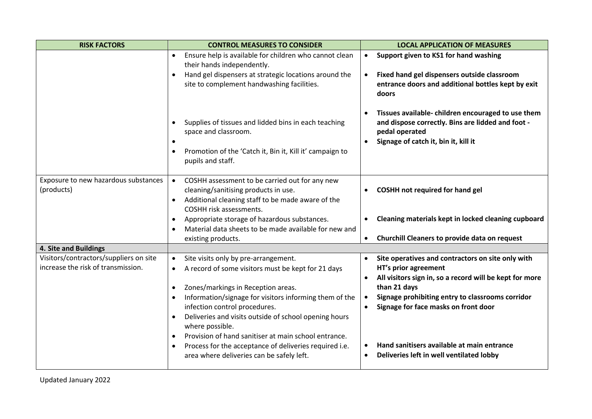| <b>RISK FACTORS</b>                                                          | <b>CONTROL MEASURES TO CONSIDER</b>                                                                                                                                                                                                                                                                                                                                                                                                                                                                                                                  | <b>LOCAL APPLICATION OF MEASURES</b>                                                                                                                                                                                                                                                                                                                                                                        |
|------------------------------------------------------------------------------|------------------------------------------------------------------------------------------------------------------------------------------------------------------------------------------------------------------------------------------------------------------------------------------------------------------------------------------------------------------------------------------------------------------------------------------------------------------------------------------------------------------------------------------------------|-------------------------------------------------------------------------------------------------------------------------------------------------------------------------------------------------------------------------------------------------------------------------------------------------------------------------------------------------------------------------------------------------------------|
|                                                                              | Ensure help is available for children who cannot clean<br>their hands independently.<br>Hand gel dispensers at strategic locations around the<br>$\bullet$<br>site to complement handwashing facilities.                                                                                                                                                                                                                                                                                                                                             | Support given to KS1 for hand washing<br>$\bullet$<br>Fixed hand gel dispensers outside classroom<br>$\bullet$<br>entrance doors and additional bottles kept by exit<br>doors                                                                                                                                                                                                                               |
|                                                                              | Supplies of tissues and lidded bins in each teaching<br>space and classroom.<br>$\bullet$<br>Promotion of the 'Catch it, Bin it, Kill it' campaign to<br>$\bullet$<br>pupils and staff.                                                                                                                                                                                                                                                                                                                                                              | Tissues available-children encouraged to use them<br>$\bullet$<br>and dispose correctly. Bins are lidded and foot -<br>pedal operated<br>Signage of catch it, bin it, kill it<br>$\bullet$                                                                                                                                                                                                                  |
| Exposure to new hazardous substances<br>(products)                           | COSHH assessment to be carried out for any new<br>$\bullet$<br>cleaning/sanitising products in use.<br>Additional cleaning staff to be made aware of the<br>$\bullet$<br>COSHH risk assessments.<br>Appropriate storage of hazardous substances.<br>$\bullet$<br>Material data sheets to be made available for new and<br>$\bullet$                                                                                                                                                                                                                  | <b>COSHH not required for hand gel</b><br>Cleaning materials kept in locked cleaning cupboard                                                                                                                                                                                                                                                                                                               |
|                                                                              | existing products.                                                                                                                                                                                                                                                                                                                                                                                                                                                                                                                                   | Churchill Cleaners to provide data on request<br>$\bullet$                                                                                                                                                                                                                                                                                                                                                  |
| 4. Site and Buildings                                                        |                                                                                                                                                                                                                                                                                                                                                                                                                                                                                                                                                      |                                                                                                                                                                                                                                                                                                                                                                                                             |
| Visitors/contractors/suppliers on site<br>increase the risk of transmission. | Site visits only by pre-arrangement.<br>$\bullet$<br>A record of some visitors must be kept for 21 days<br>Zones/markings in Reception areas.<br>$\bullet$<br>Information/signage for visitors informing them of the<br>$\bullet$<br>infection control procedures.<br>Deliveries and visits outside of school opening hours<br>$\bullet$<br>where possible.<br>Provision of hand sanitiser at main school entrance.<br>$\bullet$<br>Process for the acceptance of deliveries required i.e.<br>$\bullet$<br>area where deliveries can be safely left. | Site operatives and contractors on site only with<br>$\bullet$<br>HT's prior agreement<br>All visitors sign in, so a record will be kept for more<br>$\bullet$<br>than 21 days<br>Signage prohibiting entry to classrooms corridor<br>$\bullet$<br>Signage for face masks on front door<br>$\bullet$<br>Hand sanitisers available at main entrance<br>Deliveries left in well ventilated lobby<br>$\bullet$ |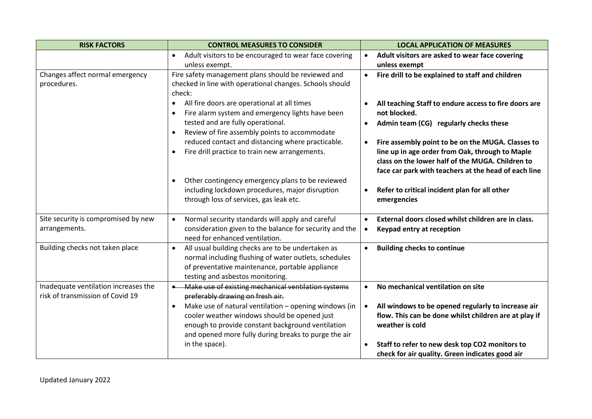| <b>RISK FACTORS</b>                  | <b>CONTROL MEASURES TO CONSIDER</b>                                | <b>LOCAL APPLICATION OF MEASURES</b>                             |
|--------------------------------------|--------------------------------------------------------------------|------------------------------------------------------------------|
|                                      | Adult visitors to be encouraged to wear face covering<br>$\bullet$ | Adult visitors are asked to wear face covering<br>$\bullet$      |
|                                      | unless exempt.                                                     | unless exempt                                                    |
| Changes affect normal emergency      | Fire safety management plans should be reviewed and                | Fire drill to be explained to staff and children<br>$\bullet$    |
| procedures.                          | checked in line with operational changes. Schools should           |                                                                  |
|                                      | check:                                                             |                                                                  |
|                                      | All fire doors are operational at all times<br>$\bullet$           | All teaching Staff to endure access to fire doors are            |
|                                      | Fire alarm system and emergency lights have been                   | not blocked.                                                     |
|                                      | tested and are fully operational.                                  | Admin team (CG) regularly checks these<br>$\bullet$              |
|                                      | Review of fire assembly points to accommodate                      |                                                                  |
|                                      | reduced contact and distancing where practicable.                  | Fire assembly point to be on the MUGA. Classes to<br>$\bullet$   |
|                                      | Fire drill practice to train new arrangements.<br>$\bullet$        | line up in age order from Oak, through to Maple                  |
|                                      |                                                                    | class on the lower half of the MUGA. Children to                 |
|                                      |                                                                    | face car park with teachers at the head of each line             |
|                                      | Other contingency emergency plans to be reviewed                   |                                                                  |
|                                      | including lockdown procedures, major disruption                    | Refer to critical incident plan for all other<br>$\bullet$       |
|                                      | through loss of services, gas leak etc.                            | emergencies                                                      |
| Site security is compromised by new  | Normal security standards will apply and careful<br>$\bullet$      | External doors closed whilst children are in class.<br>$\bullet$ |
| arrangements.                        | consideration given to the balance for security and the            | Keypad entry at reception<br>$\bullet$                           |
|                                      | need for enhanced ventilation.                                     |                                                                  |
| Building checks not taken place      | All usual building checks are to be undertaken as<br>$\bullet$     | <b>Building checks to continue</b><br>$\bullet$                  |
|                                      | normal including flushing of water outlets, schedules              |                                                                  |
|                                      | of preventative maintenance, portable appliance                    |                                                                  |
|                                      | testing and asbestos monitoring.                                   |                                                                  |
| Inadequate ventilation increases the | Make use of existing mechanical ventilation systems                | No mechanical ventilation on site<br>$\bullet$                   |
| risk of transmission of Covid 19     | preferably drawing on fresh air.                                   |                                                                  |
|                                      | Make use of natural ventilation - opening windows (in<br>$\bullet$ | All windows to be opened regularly to increase air<br>$\bullet$  |
|                                      | cooler weather windows should be opened just                       | flow. This can be done whilst children are at play if            |
|                                      | enough to provide constant background ventilation                  | weather is cold                                                  |
|                                      | and opened more fully during breaks to purge the air               |                                                                  |
|                                      | in the space).                                                     | Staff to refer to new desk top CO2 monitors to<br>$\bullet$      |
|                                      |                                                                    | check for air quality. Green indicates good air                  |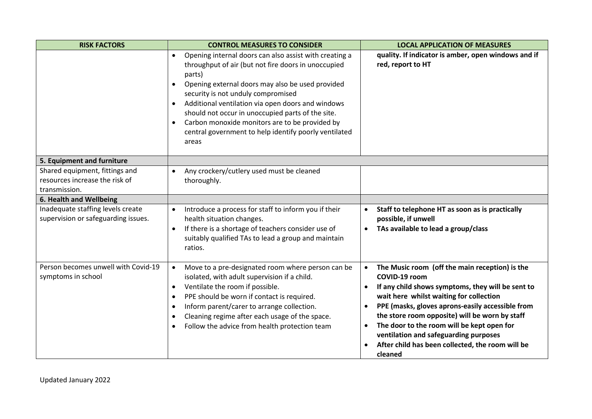| <b>RISK FACTORS</b>                                                               | <b>CONTROL MEASURES TO CONSIDER</b>                                                                                                                                                                                                                                                                                                                                                                                                                                                    | <b>LOCAL APPLICATION OF MEASURES</b>                                                                                                                                                                                                                                                                                                                                                                                                                               |
|-----------------------------------------------------------------------------------|----------------------------------------------------------------------------------------------------------------------------------------------------------------------------------------------------------------------------------------------------------------------------------------------------------------------------------------------------------------------------------------------------------------------------------------------------------------------------------------|--------------------------------------------------------------------------------------------------------------------------------------------------------------------------------------------------------------------------------------------------------------------------------------------------------------------------------------------------------------------------------------------------------------------------------------------------------------------|
|                                                                                   | Opening internal doors can also assist with creating a<br>$\bullet$<br>throughput of air (but not fire doors in unoccupied<br>parts)<br>Opening external doors may also be used provided<br>$\bullet$<br>security is not unduly compromised<br>Additional ventilation via open doors and windows<br>should not occur in unoccupied parts of the site.<br>Carbon monoxide monitors are to be provided by<br>$\bullet$<br>central government to help identify poorly ventilated<br>areas | quality. If indicator is amber, open windows and if<br>red, report to HT                                                                                                                                                                                                                                                                                                                                                                                           |
| 5. Equipment and furniture                                                        |                                                                                                                                                                                                                                                                                                                                                                                                                                                                                        |                                                                                                                                                                                                                                                                                                                                                                                                                                                                    |
| Shared equipment, fittings and<br>resources increase the risk of<br>transmission. | Any crockery/cutlery used must be cleaned<br>$\bullet$<br>thoroughly.                                                                                                                                                                                                                                                                                                                                                                                                                  |                                                                                                                                                                                                                                                                                                                                                                                                                                                                    |
| 6. Health and Wellbeing                                                           |                                                                                                                                                                                                                                                                                                                                                                                                                                                                                        |                                                                                                                                                                                                                                                                                                                                                                                                                                                                    |
| Inadequate staffing levels create<br>supervision or safeguarding issues.          | Introduce a process for staff to inform you if their<br>$\bullet$<br>health situation changes.<br>If there is a shortage of teachers consider use of<br>$\bullet$<br>suitably qualified TAs to lead a group and maintain<br>ratios.                                                                                                                                                                                                                                                    | Staff to telephone HT as soon as is practically<br>$\bullet$<br>possible, if unwell<br>TAs available to lead a group/class<br>$\bullet$                                                                                                                                                                                                                                                                                                                            |
| Person becomes unwell with Covid-19<br>symptoms in school                         | Move to a pre-designated room where person can be<br>$\bullet$<br>isolated, with adult supervision if a child.<br>Ventilate the room if possible.<br>PPE should be worn if contact is required.<br>Inform parent/carer to arrange collection.<br>$\bullet$<br>Cleaning regime after each usage of the space.<br>Follow the advice from health protection team                                                                                                                          | The Music room (off the main reception) is the<br>$\bullet$<br>COVID-19 room<br>If any child shows symptoms, they will be sent to<br>wait here whilst waiting for collection<br>PPE (masks, gloves aprons-easily accessible from<br>$\bullet$<br>the store room opposite) will be worn by staff<br>The door to the room will be kept open for<br>$\bullet$<br>ventilation and safeguarding purposes<br>After child has been collected, the room will be<br>cleaned |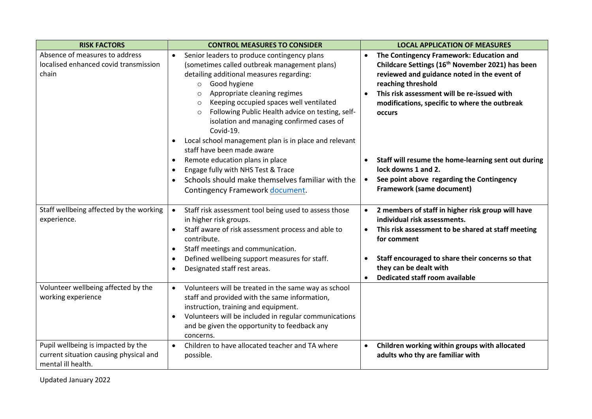| <b>RISK FACTORS</b>                                                                                | <b>CONTROL MEASURES TO CONSIDER</b>                                                                                                                                                                                                                                                                                                                                                                                                                                                               | <b>LOCAL APPLICATION OF MEASURES</b>                                                                                                                                                                                                                                                                                     |
|----------------------------------------------------------------------------------------------------|---------------------------------------------------------------------------------------------------------------------------------------------------------------------------------------------------------------------------------------------------------------------------------------------------------------------------------------------------------------------------------------------------------------------------------------------------------------------------------------------------|--------------------------------------------------------------------------------------------------------------------------------------------------------------------------------------------------------------------------------------------------------------------------------------------------------------------------|
| Absence of measures to address<br>localised enhanced covid transmission<br>chain                   | Senior leaders to produce contingency plans<br>$\bullet$<br>(sometimes called outbreak management plans)<br>detailing additional measures regarding:<br>Good hygiene<br>$\circ$<br>Appropriate cleaning regimes<br>$\Omega$<br>Keeping occupied spaces well ventilated<br>$\circ$<br>Following Public Health advice on testing, self-<br>$\circ$<br>isolation and managing confirmed cases of<br>Covid-19.<br>Local school management plan is in place and relevant<br>staff have been made aware | The Contingency Framework: Education and<br>$\bullet$<br>Childcare Settings (16 <sup>th</sup> November 2021) has been<br>reviewed and guidance noted in the event of<br>reaching threshold<br>This risk assessment will be re-issued with<br>$\bullet$<br>modifications, specific to where the outbreak<br><b>OCCULS</b> |
|                                                                                                    | Remote education plans in place<br>$\bullet$<br>Engage fully with NHS Test & Trace<br>$\bullet$<br>Schools should make themselves familiar with the<br>Contingency Framework document.                                                                                                                                                                                                                                                                                                            | Staff will resume the home-learning sent out during<br>lock downs 1 and 2.<br>See point above regarding the Contingency<br>$\bullet$<br><b>Framework (same document)</b>                                                                                                                                                 |
| Staff wellbeing affected by the working<br>experience.                                             | Staff risk assessment tool being used to assess those<br>$\bullet$<br>in higher risk groups.<br>Staff aware of risk assessment process and able to<br>$\bullet$<br>contribute.<br>Staff meetings and communication.<br>Defined wellbeing support measures for staff.<br>Designated staff rest areas.                                                                                                                                                                                              | 2 members of staff in higher risk group will have<br>$\bullet$<br>individual risk assessments.<br>This risk assessment to be shared at staff meeting<br>$\bullet$<br>for comment<br>Staff encouraged to share their concerns so that<br>$\bullet$<br>they can be dealt with<br><b>Dedicated staff room available</b>     |
| Volunteer wellbeing affected by the<br>working experience                                          | Volunteers will be treated in the same way as school<br>$\bullet$<br>staff and provided with the same information,<br>instruction, training and equipment.<br>Volunteers will be included in regular communications<br>and be given the opportunity to feedback any<br>concerns.                                                                                                                                                                                                                  |                                                                                                                                                                                                                                                                                                                          |
| Pupil wellbeing is impacted by the<br>current situation causing physical and<br>mental ill health. | Children to have allocated teacher and TA where<br>$\bullet$<br>possible.                                                                                                                                                                                                                                                                                                                                                                                                                         | Children working within groups with allocated<br>$\bullet$<br>adults who thy are familiar with                                                                                                                                                                                                                           |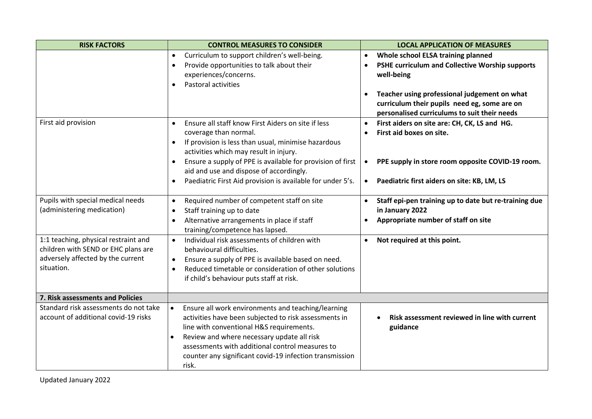| <b>CONTROL MEASURES TO CONSIDER</b>                                                                                                                                                                                                                                                                                              | <b>LOCAL APPLICATION OF MEASURES</b>                                                                                                                      |
|----------------------------------------------------------------------------------------------------------------------------------------------------------------------------------------------------------------------------------------------------------------------------------------------------------------------------------|-----------------------------------------------------------------------------------------------------------------------------------------------------------|
| Curriculum to support children's well-being.<br>$\bullet$<br>Provide opportunities to talk about their<br>$\bullet$<br>experiences/concerns.                                                                                                                                                                                     | Whole school ELSA training planned<br>$\bullet$<br>PSHE curriculum and Collective Worship supports<br>$\bullet$<br>well-being                             |
|                                                                                                                                                                                                                                                                                                                                  | Teacher using professional judgement on what<br>$\bullet$<br>curriculum their pupils need eg, some are on<br>personalised curriculums to suit their needs |
| Ensure all staff know First Aiders on site if less<br>$\bullet$<br>coverage than normal.<br>If provision is less than usual, minimise hazardous<br>$\bullet$<br>activities which may result in injury.                                                                                                                           | First aiders on site are: CH, CK, LS and HG.<br>$\bullet$<br>First aid boxes on site.                                                                     |
| Ensure a supply of PPE is available for provision of first<br>$\bullet$<br>aid and use and dispose of accordingly.<br>Paediatric First Aid provision is available for under 5's.                                                                                                                                                 | PPE supply in store room opposite COVID-19 room.<br>$\bullet$<br>Paediatric first aiders on site: KB, LM, LS<br>$\bullet$                                 |
| Required number of competent staff on site<br>$\bullet$<br>Staff training up to date<br>$\bullet$<br>Alternative arrangements in place if staff<br>$\bullet$                                                                                                                                                                     | Staff epi-pen training up to date but re-training due<br>$\bullet$<br>in January 2022<br>Appropriate number of staff on site<br>$\bullet$                 |
| Individual risk assessments of children with<br>$\bullet$<br>behavioural difficulties.<br>Ensure a supply of PPE is available based on need.<br>$\bullet$<br>Reduced timetable or consideration of other solutions<br>$\bullet$<br>if child's behaviour puts staff at risk.                                                      | Not required at this point.<br>$\bullet$                                                                                                                  |
|                                                                                                                                                                                                                                                                                                                                  |                                                                                                                                                           |
| Ensure all work environments and teaching/learning<br>$\bullet$<br>activities have been subjected to risk assessments in<br>line with conventional H&S requirements.<br>Review and where necessary update all risk<br>assessments with additional control measures to<br>counter any significant covid-19 infection transmission | Risk assessment reviewed in line with current<br>guidance                                                                                                 |
|                                                                                                                                                                                                                                                                                                                                  | Pastoral activities<br>training/competence has lapsed.<br>risk.                                                                                           |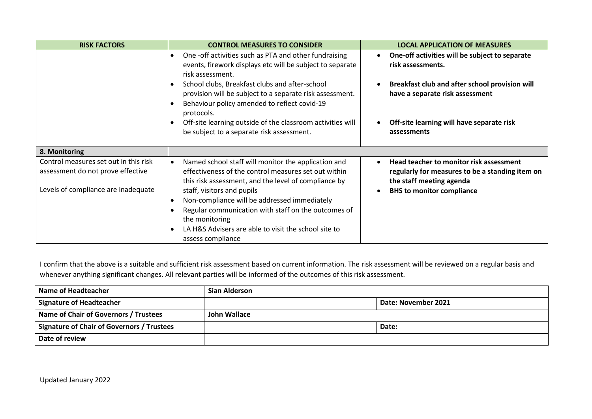| <b>RISK FACTORS</b>                                                        | <b>CONTROL MEASURES TO CONSIDER</b>                                                                                                                                              | <b>LOCAL APPLICATION OF MEASURES</b>                                                                                   |
|----------------------------------------------------------------------------|----------------------------------------------------------------------------------------------------------------------------------------------------------------------------------|------------------------------------------------------------------------------------------------------------------------|
|                                                                            | One -off activities such as PTA and other fundraising<br>events, firework displays etc will be subject to separate<br>risk assessment.                                           | One-off activities will be subject to separate<br>risk assessments.                                                    |
|                                                                            | School clubs, Breakfast clubs and after-school<br>provision will be subject to a separate risk assessment.<br>Behaviour policy amended to reflect covid-19                       | Breakfast club and after school provision will<br>have a separate risk assessment                                      |
|                                                                            | protocols.<br>Off-site learning outside of the classroom activities will<br>be subject to a separate risk assessment.                                                            | Off-site learning will have separate risk<br>assessments                                                               |
| 8. Monitoring                                                              |                                                                                                                                                                                  |                                                                                                                        |
| Control measures set out in this risk<br>assessment do not prove effective | Named school staff will monitor the application and<br>$\bullet$<br>effectiveness of the control measures set out within<br>this risk assessment, and the level of compliance by | Head teacher to monitor risk assessment<br>regularly for measures to be a standing item on<br>the staff meeting agenda |
| Levels of compliance are inadequate                                        | staff, visitors and pupils                                                                                                                                                       | <b>BHS</b> to monitor compliance                                                                                       |
|                                                                            | Non-compliance will be addressed immediately                                                                                                                                     |                                                                                                                        |
|                                                                            | Regular communication with staff on the outcomes of<br>the monitoring                                                                                                            |                                                                                                                        |
|                                                                            | LA H&S Advisers are able to visit the school site to<br>assess compliance                                                                                                        |                                                                                                                        |

I confirm that the above is a suitable and sufficient risk assessment based on current information. The risk assessment will be reviewed on a regular basis and whenever anything significant changes. All relevant parties will be informed of the outcomes of this risk assessment.

| Name of Headteacher                        | <b>Sian Alderson</b> |                     |
|--------------------------------------------|----------------------|---------------------|
| Signature of Headteacher                   |                      | Date: November 2021 |
| Name of Chair of Governors / Trustees      | John Wallace         |                     |
| Signature of Chair of Governors / Trustees |                      | Date:               |
| Date of review                             |                      |                     |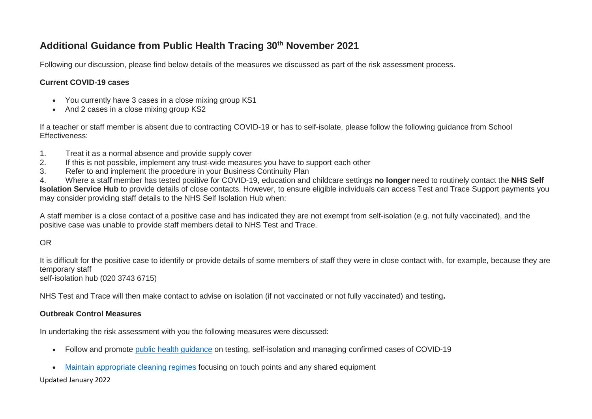### **Additional Guidance from Public Health Tracing 30th November 2021**

Following our discussion, please find below details of the measures we discussed as part of the risk assessment process.

#### **Current COVID-19 cases**

- You currently have 3 cases in a close mixing group KS1
- And 2 cases in a close mixing group KS2

If a teacher or staff member is absent due to contracting COVID-19 or has to self-isolate, please follow the following guidance from School Effectiveness:

- 1. Treat it as a normal absence and provide supply cover
- 2. If this is not possible, implement any trust-wide measures you have to support each other
- 3. Refer to and implement the procedure in your Business Continuity Plan

4. Where a staff member has tested positive for COVID-19, education and childcare settings **no longer** need to routinely contact the **NHS Self Isolation Service Hub** to provide details of close contacts. However, to ensure eligible individuals can access Test and Trace Support payments you may consider providing staff details to the NHS Self Isolation Hub when:

A staff member is a close contact of a positive case and has indicated they are not exempt from self-isolation (e.g. not fully vaccinated), and the positive case was unable to provide staff members detail to NHS Test and Trace.

#### OR

It is difficult for the positive case to identify or provide details of some members of staff they were in close contact with, for example, because they are temporary staff

self-isolation hub (020 3743 6715)

NHS Test and Trace will then make contact to advise on isolation (if not vaccinated or not fully vaccinated) and testing**.**

#### **Outbreak Control Measures**

In undertaking the risk assessment with you the following measures were discussed:

- Follow and promote public health [guidance](https://www.gov.uk/government/publications/actions-for-schools-during-the-coronavirus-outbreak/schools-covid-19-operational-guidance) on testing, self-isolation and managing confirmed cases of COVID-19
- Maintain [appropriate](https://www.gov.uk/government/publications/covid-19-decontamination-in-non-healthcare-settings) cleaning regimes focusing on touch points and any shared equipment

#### Updated January 2022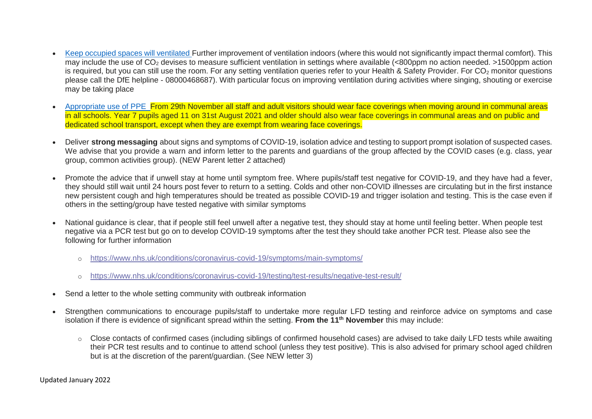- Keep occupied spaces will [ventilated](https://www.hse.gov.uk/coronavirus/equipment-and-machinery/air-conditioning-and-ventilation/index.htm) Further improvement of ventilation indoors (where this would not significantly impact thermal comfort). This may include the use of  $CO<sub>2</sub>$  devises to measure sufficient ventilation in settings where available (<800ppm no action needed. >1500ppm action is required, but you can still use the room. For any setting ventilation queries refer to your Health & Safety Provider. For CO<sub>2</sub> monitor questions please call the DfE helpline - 08000468687). With particular focus on improving ventilation during activities where singing, shouting or exercise may be taking place
- [Appropriate](https://www.gov.uk/government/publications/safe-working-in-education-childcare-and-childrens-social-care) use of PPE From 29th November all staff and adult visitors should wear face coverings when moving around in communal areas in all schools. Year 7 pupils aged 11 on 31st August 2021 and older should also wear face coverings in communal areas and on public and dedicated school transport, except when they are exempt from wearing face coverings.
- Deliver **strong messaging** about signs and symptoms of COVID-19, isolation advice and testing to support prompt isolation of suspected cases. We advise that you provide a warn and inform letter to the parents and guardians of the group affected by the COVID cases (e.g. class, year group, common activities group). (NEW Parent letter 2 attached)
- Promote the advice that if unwell stay at home until symptom free. Where pupils/staff test negative for COVID-19, and they have had a fever, they should still wait until 24 hours post fever to return to a setting. Colds and other non-COVID illnesses are circulating but in the first instance new persistent cough and high temperatures should be treated as possible COVID-19 and trigger isolation and testing. This is the case even if others in the setting/group have tested negative with similar symptoms
- National guidance is clear, that if people still feel unwell after a negative test, they should stay at home until feeling better. When people test negative via a PCR test but go on to develop COVID-19 symptoms after the test they should take another PCR test. Please also see the following for further information
	- o [https://www.nhs.uk/conditions/coronavirus-covid-19/symptoms/main-symptoms/](https://eur02.safelinks.protection.outlook.com/?url=https%3A%2F%2Fwww.nhs.uk%2Fconditions%2Fcoronavirus-covid-19%2Fsymptoms%2Fmain-symptoms%2F&data=04%7C01%7CRachel.Kent%40wiltshire.gov.uk%7Ca1d9767eea59479ac95208d98d56b7a9%7C5546e75e3be14813b0ff26651ea2fe19%7C0%7C0%7C637696225855260363%7CUnknown%7CTWFpbGZsb3d8eyJWIjoiMC4wLjAwMDAiLCJQIjoiV2luMzIiLCJBTiI6Ik1haWwiLCJXVCI6Mn0%3D%7C1000&sdata=dqDSZzf9WWYCydvAakEOD7Dck1Ds8irmUp3hgG%2Fj99s%3D&reserved=0)
	- o [https://www.nhs.uk/conditions/coronavirus-covid-19/testing/test-results/negative-test-result/](https://eur02.safelinks.protection.outlook.com/?url=https%3A%2F%2Fwww.nhs.uk%2Fconditions%2Fcoronavirus-covid-19%2Ftesting%2Ftest-results%2Fnegative-test-result%2F&data=04%7C01%7CRachel.Kent%40wiltshire.gov.uk%7Ca1d9767eea59479ac95208d98d56b7a9%7C5546e75e3be14813b0ff26651ea2fe19%7C0%7C0%7C637696225855260363%7CUnknown%7CTWFpbGZsb3d8eyJWIjoiMC4wLjAwMDAiLCJQIjoiV2luMzIiLCJBTiI6Ik1haWwiLCJXVCI6Mn0%3D%7C1000&sdata=rkR2v%2BySdPssARvmtLPAD83Oa6pIjKlM0nAK0zVnnmg%3D&reserved=0)
- Send a letter to the whole setting community with outbreak information
- Strengthen communications to encourage pupils/staff to undertake more regular LFD testing and reinforce advice on symptoms and case isolation if there is evidence of significant spread within the setting. **From the 11th November** this may include:
	- o Close contacts of confirmed cases (including siblings of confirmed household cases) are advised to take daily LFD tests while awaiting their PCR test results and to continue to attend school (unless they test positive). This is also advised for primary school aged children but is at the discretion of the parent/guardian. (See NEW letter 3)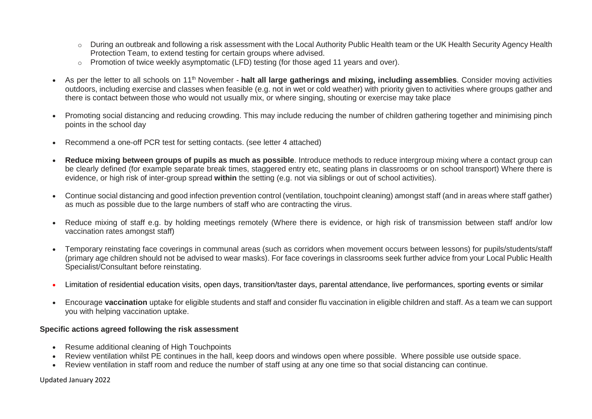- o During an outbreak and following a risk assessment with the Local Authority Public Health team or the UK Health Security Agency Health Protection Team, to extend testing for certain groups where advised.
- o Promotion of twice weekly asymptomatic (LFD) testing (for those aged 11 years and over).
- As per the letter to all schools on 11th November **halt all large gatherings and mixing, including assemblies**. Consider moving activities outdoors, including exercise and classes when feasible (e.g. not in wet or cold weather) with priority given to activities where groups gather and there is contact between those who would not usually mix, or where singing, shouting or exercise may take place
- Promoting social distancing and reducing crowding. This may include reducing the number of children gathering together and minimising pinch points in the school day
- Recommend a one-off PCR test for setting contacts. (see letter 4 attached)
- **Reduce mixing between groups of pupils as much as possible**. Introduce methods to reduce intergroup mixing where a contact group can be clearly defined (for example separate break times, staggered entry etc, seating plans in classrooms or on school transport) Where there is evidence, or high risk of inter-group spread **within** the setting (e.g. not via siblings or out of school activities).
- Continue social distancing and good infection prevention control (ventilation, touchpoint cleaning) amongst staff (and in areas where staff gather) as much as possible due to the large numbers of staff who are contracting the virus.
- Reduce mixing of staff e.g. by holding meetings remotely (Where there is evidence, or high risk of transmission between staff and/or low vaccination rates amongst staff)
- Temporary reinstating face coverings in communal areas (such as corridors when movement occurs between lessons) for pupils/students/staff (primary age children should not be advised to wear masks). For face coverings in classrooms seek further advice from your Local Public Health Specialist/Consultant before reinstating.
- Limitation of residential education visits, open days, transition/taster days, parental attendance, live performances, sporting events or similar
- Encourage **vaccination** uptake for eligible students and staff and consider flu vaccination in eligible children and staff. As a team we can support you with helping vaccination uptake.

#### **Specific actions agreed following the risk assessment**

- Resume additional cleaning of High Touchpoints
- Review ventilation whilst PE continues in the hall, keep doors and windows open where possible. Where possible use outside space.
- Review ventilation in staff room and reduce the number of staff using at any one time so that social distancing can continue.

Updated January 2022